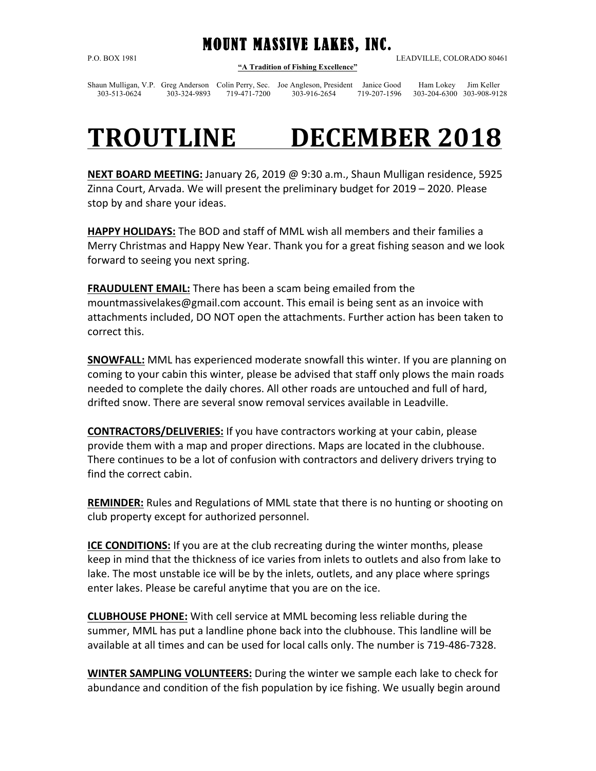MOUNT MASSIVE LAKES, INC. **"A Tradition of Fishing Excellence"**

P.O. BOX 1981 LEADVILLE, COLORADO 80461

Shaun Mulligan, V.P. Greg Anderson Colin Perry, Sec. Joe Angleson, President Janice Good Ham Lokey Jim Keller 303-513-0624 303-324-9893 719-471-7200 303-916-2654 719-207-1596 303-204-6300 303-908-9128

## **TROUTLINE DECEMBER 2018**

**NEXT BOARD MEETING:** January 26, 2019 @ 9:30 a.m., Shaun Mulligan residence, 5925 Zinna Court, Arvada. We will present the preliminary budget for 2019 – 2020. Please stop by and share your ideas.

**HAPPY HOLIDAYS:** The BOD and staff of MML wish all members and their families a Merry Christmas and Happy New Year. Thank you for a great fishing season and we look forward to seeing you next spring.

**FRAUDULENT EMAIL:** There has been a scam being emailed from the mountmassivelakes@gmail.com account. This email is being sent as an invoice with attachments included, DO NOT open the attachments. Further action has been taken to correct this.

**SNOWFALL:** MML has experienced moderate snowfall this winter. If you are planning on coming to your cabin this winter, please be advised that staff only plows the main roads needed to complete the daily chores. All other roads are untouched and full of hard, drifted snow. There are several snow removal services available in Leadville.

**CONTRACTORS/DELIVERIES:** If you have contractors working at your cabin, please provide them with a map and proper directions. Maps are located in the clubhouse. There continues to be a lot of confusion with contractors and delivery drivers trying to find the correct cabin.

**REMINDER:** Rules and Regulations of MML state that there is no hunting or shooting on club property except for authorized personnel.

**ICE CONDITIONS:** If you are at the club recreating during the winter months, please keep in mind that the thickness of ice varies from inlets to outlets and also from lake to lake. The most unstable ice will be by the inlets, outlets, and any place where springs enter lakes. Please be careful anytime that you are on the ice.

**CLUBHOUSE PHONE:** With cell service at MML becoming less reliable during the summer, MML has put a landline phone back into the clubhouse. This landline will be available at all times and can be used for local calls only. The number is 719-486-7328.

**WINTER SAMPLING VOLUNTEERS:** During the winter we sample each lake to check for abundance and condition of the fish population by ice fishing. We usually begin around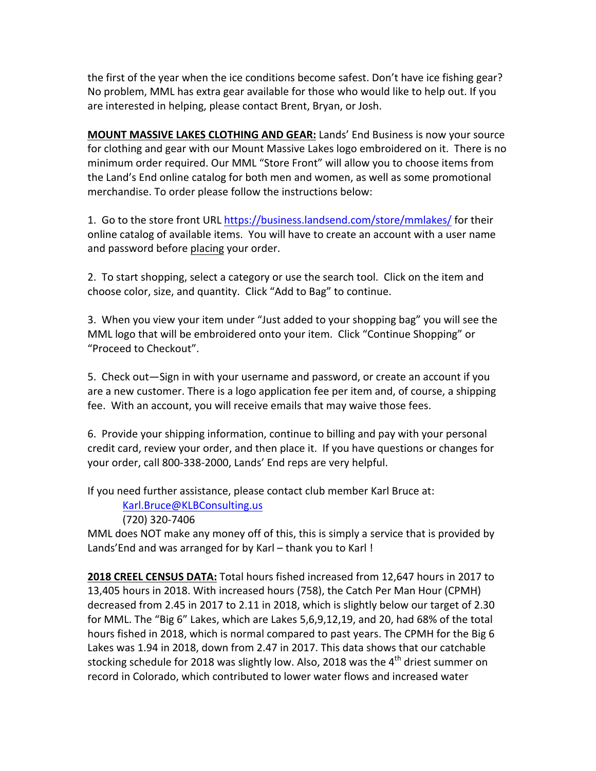the first of the year when the ice conditions become safest. Don't have ice fishing gear? No problem, MML has extra gear available for those who would like to help out. If you are interested in helping, please contact Brent, Bryan, or Josh.

**MOUNT MASSIVE LAKES CLOTHING AND GEAR: Lands' End Business is now your source** for clothing and gear with our Mount Massive Lakes logo embroidered on it. There is no minimum order required. Our MML "Store Front" will allow you to choose items from the Land's End online catalog for both men and women, as well as some promotional merchandise. To order please follow the instructions below:

1. Go to the store front URL https://business.landsend.com/store/mmlakes/ for their online catalog of available items. You will have to create an account with a user name and password before placing your order.

2. To start shopping, select a category or use the search tool. Click on the item and choose color, size, and quantity. Click "Add to Bag" to continue.

3. When you view your item under "Just added to your shopping bag" you will see the MML logo that will be embroidered onto your item. Click "Continue Shopping" or "Proceed to Checkout".

5. Check out—Sign in with your username and password, or create an account if you are a new customer. There is a logo application fee per item and, of course, a shipping fee. With an account, you will receive emails that may waive those fees.

6. Provide your shipping information, continue to billing and pay with your personal credit card, review your order, and then place it. If you have questions or changes for your order, call 800-338-2000, Lands' End reps are very helpful.

If you need further assistance, please contact club member Karl Bruce at:

Karl.Bruce@KLBConsulting.us

(720) 320-7406

MML does NOT make any money off of this, this is simply a service that is provided by Lands'End and was arranged for by Karl  $-$  thank you to Karl!

**2018 CREEL CENSUS DATA:** Total hours fished increased from 12,647 hours in 2017 to 13,405 hours in 2018. With increased hours (758), the Catch Per Man Hour (CPMH) decreased from 2.45 in 2017 to 2.11 in 2018, which is slightly below our target of 2.30 for MML. The "Big 6" Lakes, which are Lakes  $5,6,9,12,19$ , and 20, had 68% of the total hours fished in 2018, which is normal compared to past years. The CPMH for the Big 6 Lakes was 1.94 in 2018, down from 2.47 in 2017. This data shows that our catchable stocking schedule for 2018 was slightly low. Also, 2018 was the  $4^{\text{th}}$  driest summer on record in Colorado, which contributed to lower water flows and increased water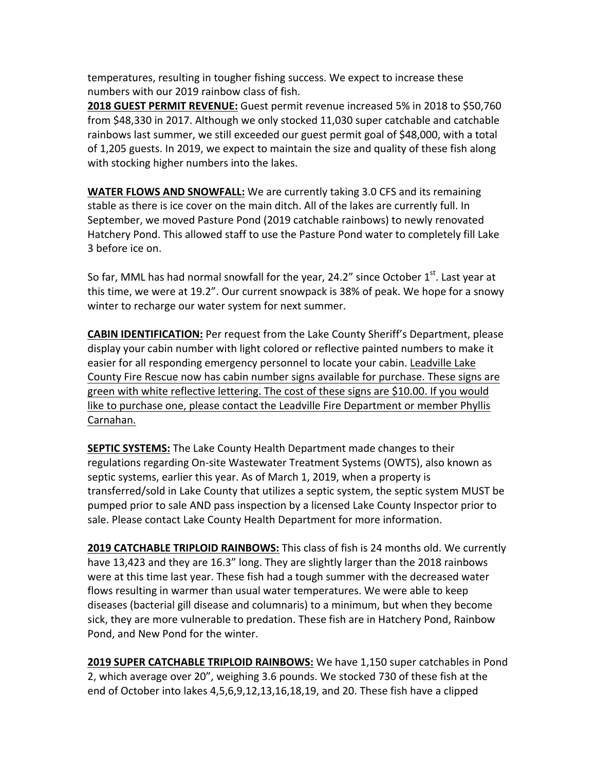temperatures, resulting in tougher fishing success. We expect to increase these numbers with our 2019 rainbow class of fish.

**2018 GUEST PERMIT REVENUE:** Guest permit revenue increased 5% in 2018 to \$50,760 from \$48,330 in 2017. Although we only stocked 11,030 super catchable and catchable rainbows last summer, we still exceeded our guest permit goal of \$48,000, with a total of 1,205 guests. In 2019, we expect to maintain the size and quality of these fish along with stocking higher numbers into the lakes.

**WATER FLOWS AND SNOWFALL:** We are currently taking 3.0 CFS and its remaining stable as there is ice cover on the main ditch. All of the lakes are currently full. In September, we moved Pasture Pond (2019 catchable rainbows) to newly renovated Hatchery Pond. This allowed staff to use the Pasture Pond water to completely fill Lake 3 before ice on.

So far, MML has had normal snowfall for the year, 24.2" since October  $1^{st}$ . Last year at this time, we were at 19.2". Our current snowpack is 38% of peak. We hope for a snowy winter to recharge our water system for next summer.

**CABIN IDENTIFICATION:** Per request from the Lake County Sheriff's Department, please display your cabin number with light colored or reflective painted numbers to make it easier for all responding emergency personnel to locate your cabin. Leadville Lake County Fire Rescue now has cabin number signs available for purchase. These signs are green with white reflective lettering. The cost of these signs are \$10.00. If you would like to purchase one, please contact the Leadville Fire Department or member Phyllis Carnahan.

**SEPTIC SYSTEMS:** The Lake County Health Department made changes to their regulations regarding On-site Wastewater Treatment Systems (OWTS), also known as septic systems, earlier this year. As of March 1, 2019, when a property is transferred/sold in Lake County that utilizes a septic system, the septic system MUST be pumped prior to sale AND pass inspection by a licensed Lake County Inspector prior to sale. Please contact Lake County Health Department for more information.

**2019 CATCHABLE TRIPLOID RAINBOWS:** This class of fish is 24 months old. We currently have 13,423 and they are 16.3" long. They are slightly larger than the 2018 rainbows were at this time last year. These fish had a tough summer with the decreased water flows resulting in warmer than usual water temperatures. We were able to keep diseases (bacterial gill disease and columnaris) to a minimum, but when they become sick, they are more vulnerable to predation. These fish are in Hatchery Pond, Rainbow Pond, and New Pond for the winter.

**2019 SUPER CATCHABLE TRIPLOID RAINBOWS:** We have 1,150 super catchables in Pond 2, which average over 20", weighing 3.6 pounds. We stocked 730 of these fish at the end of October into lakes  $4,5,6,9,12,13,16,18,19$ , and 20. These fish have a clipped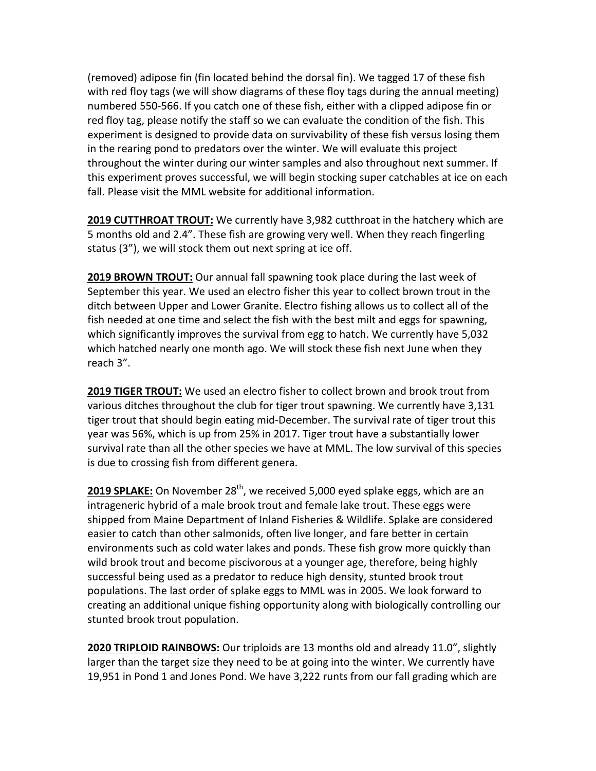(removed) adipose fin (fin located behind the dorsal fin). We tagged 17 of these fish with red floy tags (we will show diagrams of these floy tags during the annual meeting) numbered 550-566. If you catch one of these fish, either with a clipped adipose fin or red floy tag, please notify the staff so we can evaluate the condition of the fish. This experiment is designed to provide data on survivability of these fish versus losing them in the rearing pond to predators over the winter. We will evaluate this project throughout the winter during our winter samples and also throughout next summer. If this experiment proves successful, we will begin stocking super catchables at ice on each fall. Please visit the MML website for additional information.

**2019 CUTTHROAT TROUT:** We currently have 3,982 cutthroat in the hatchery which are 5 months old and 2.4". These fish are growing very well. When they reach fingerling status (3"), we will stock them out next spring at ice off.

**2019 BROWN TROUT:** Our annual fall spawning took place during the last week of September this year. We used an electro fisher this year to collect brown trout in the ditch between Upper and Lower Granite. Electro fishing allows us to collect all of the fish needed at one time and select the fish with the best milt and eggs for spawning, which significantly improves the survival from egg to hatch. We currently have 5,032 which hatched nearly one month ago. We will stock these fish next June when they reach 3".

**2019 TIGER TROUT:** We used an electro fisher to collect brown and brook trout from various ditches throughout the club for tiger trout spawning. We currently have 3,131 tiger trout that should begin eating mid-December. The survival rate of tiger trout this year was 56%, which is up from 25% in 2017. Tiger trout have a substantially lower survival rate than all the other species we have at MML. The low survival of this species is due to crossing fish from different genera.

**2019 SPLAKE:** On November 28<sup>th</sup>, we received 5,000 eyed splake eggs, which are an intrageneric hybrid of a male brook trout and female lake trout. These eggs were shipped from Maine Department of Inland Fisheries & Wildlife. Splake are considered easier to catch than other salmonids, often live longer, and fare better in certain environments such as cold water lakes and ponds. These fish grow more quickly than wild brook trout and become piscivorous at a younger age, therefore, being highly successful being used as a predator to reduce high density, stunted brook trout populations. The last order of splake eggs to MML was in 2005. We look forward to creating an additional unique fishing opportunity along with biologically controlling our stunted brook trout population.

**2020 TRIPLOID RAINBOWS:** Our triploids are 13 months old and already 11.0", slightly larger than the target size they need to be at going into the winter. We currently have 19,951 in Pond 1 and Jones Pond. We have 3,222 runts from our fall grading which are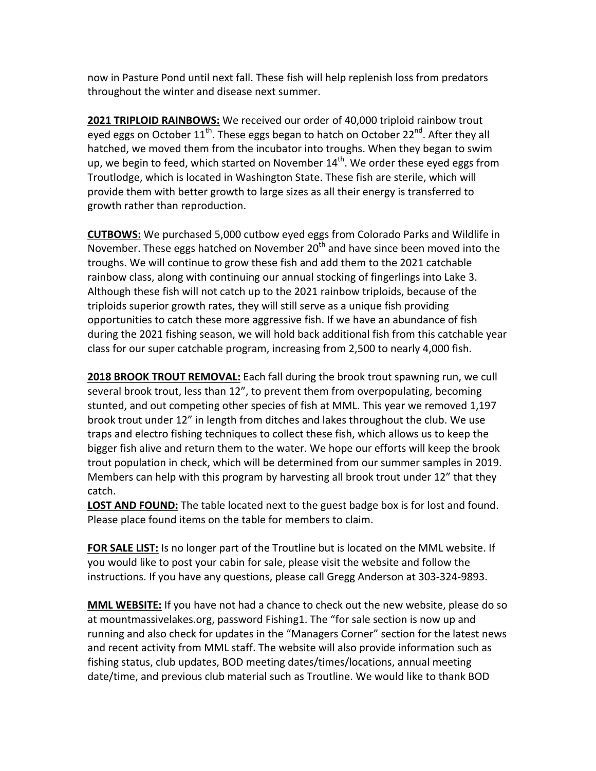now in Pasture Pond until next fall. These fish will help replenish loss from predators throughout the winter and disease next summer.

**2021 TRIPLOID RAINBOWS:** We received our order of 40,000 triploid rainbow trout eyed eggs on October  $11^{th}$ . These eggs began to hatch on October 22<sup>nd</sup>. After they all hatched, we moved them from the incubator into troughs. When they began to swim up, we begin to feed, which started on November  $14^{th}$ . We order these eyed eggs from Troutlodge, which is located in Washington State. These fish are sterile, which will provide them with better growth to large sizes as all their energy is transferred to growth rather than reproduction.

**CUTBOWS:** We purchased 5,000 cutbow eyed eggs from Colorado Parks and Wildlife in November. These eggs hatched on November 20<sup>th</sup> and have since been moved into the troughs. We will continue to grow these fish and add them to the 2021 catchable rainbow class, along with continuing our annual stocking of fingerlings into Lake 3. Although these fish will not catch up to the 2021 rainbow triploids, because of the triploids superior growth rates, they will still serve as a unique fish providing opportunities to catch these more aggressive fish. If we have an abundance of fish during the 2021 fishing season, we will hold back additional fish from this catchable year class for our super catchable program, increasing from 2,500 to nearly 4,000 fish.

**2018 BROOK TROUT REMOVAL:** Each fall during the brook trout spawning run, we cull several brook trout, less than 12", to prevent them from overpopulating, becoming stunted, and out competing other species of fish at MML. This year we removed 1,197 brook trout under 12" in length from ditches and lakes throughout the club. We use traps and electro fishing techniques to collect these fish, which allows us to keep the bigger fish alive and return them to the water. We hope our efforts will keep the brook trout population in check, which will be determined from our summer samples in 2019. Members can help with this program by harvesting all brook trout under 12" that they catch.

**LOST AND FOUND:** The table located next to the guest badge box is for lost and found. Please place found items on the table for members to claim.

**FOR SALE LIST:** Is no longer part of the Troutline but is located on the MML website. If you would like to post your cabin for sale, please visit the website and follow the instructions. If you have any questions, please call Gregg Anderson at 303-324-9893.

**MML WEBSITE:** If you have not had a chance to check out the new website, please do so at mountmassivelakes.org, password Fishing1. The "for sale section is now up and running and also check for updates in the "Managers Corner" section for the latest news and recent activity from MML staff. The website will also provide information such as fishing status, club updates, BOD meeting dates/times/locations, annual meeting date/time, and previous club material such as Troutline. We would like to thank BOD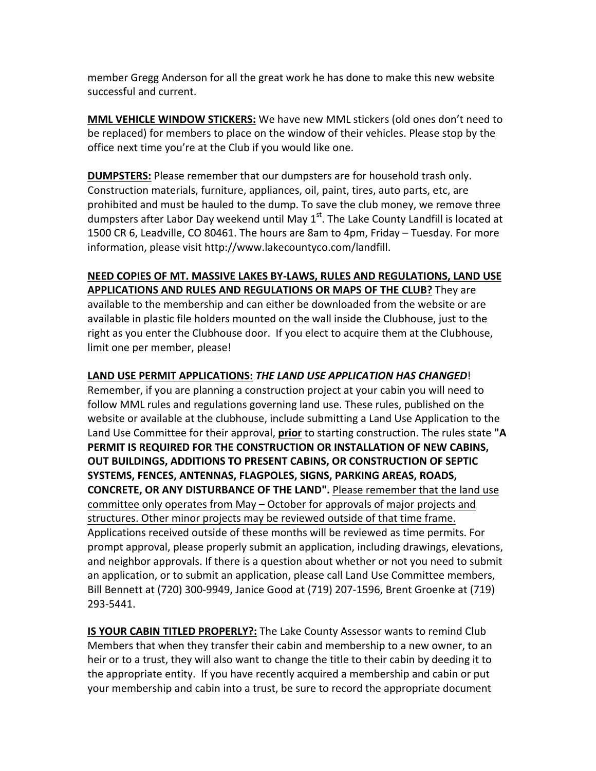member Gregg Anderson for all the great work he has done to make this new website successful and current.

**MML VEHICLE WINDOW STICKERS:** We have new MML stickers (old ones don't need to be replaced) for members to place on the window of their vehicles. Please stop by the office next time you're at the Club if you would like one.

**DUMPSTERS:** Please remember that our dumpsters are for household trash only. Construction materials, furniture, appliances, oil, paint, tires, auto parts, etc, are prohibited and must be hauled to the dump. To save the club money, we remove three dumpsters after Labor Day weekend until May  $1<sup>st</sup>$ . The Lake County Landfill is located at 1500 CR 6, Leadville, CO 80461. The hours are 8am to 4pm, Friday – Tuesday. For more information, please visit http://www.lakecountyco.com/landfill.

## **NEED COPIES OF MT. MASSIVE LAKES BY-LAWS, RULES AND REGULATIONS, LAND USE APPLICATIONS AND RULES AND REGULATIONS OR MAPS OF THE CLUB?** They are available to the membership and can either be downloaded from the website or are available in plastic file holders mounted on the wall inside the Clubhouse, just to the right as you enter the Clubhouse door. If you elect to acquire them at the Clubhouse, limit one per member, please!

## LAND USE PERMIT APPLICATIONS: THE LAND USE APPLICATION HAS CHANGED!

Remember, if you are planning a construction project at your cabin you will need to follow MML rules and regulations governing land use. These rules, published on the website or available at the clubhouse, include submitting a Land Use Application to the Land Use Committee for their approval, prior to starting construction. The rules state "A **PERMIT IS REQUIRED FOR THE CONSTRUCTION OR INSTALLATION OF NEW CABINS, OUT BUILDINGS, ADDITIONS TO PRESENT CABINS, OR CONSTRUCTION OF SEPTIC SYSTEMS, FENCES, ANTENNAS, FLAGPOLES, SIGNS, PARKING AREAS, ROADS, CONCRETE, OR ANY DISTURBANCE OF THE LAND".** Please remember that the land use committee only operates from May – October for approvals of major projects and structures. Other minor projects may be reviewed outside of that time frame. Applications received outside of these months will be reviewed as time permits. For prompt approval, please properly submit an application, including drawings, elevations, and neighbor approvals. If there is a question about whether or not you need to submit an application, or to submit an application, please call Land Use Committee members, Bill Bennett at (720) 300-9949, Janice Good at (719) 207-1596, Brent Groenke at (719) 293-5441. 

**IS YOUR CABIN TITLED PROPERLY?:** The Lake County Assessor wants to remind Club Members that when they transfer their cabin and membership to a new owner, to an heir or to a trust, they will also want to change the title to their cabin by deeding it to the appropriate entity. If you have recently acquired a membership and cabin or put your membership and cabin into a trust, be sure to record the appropriate document